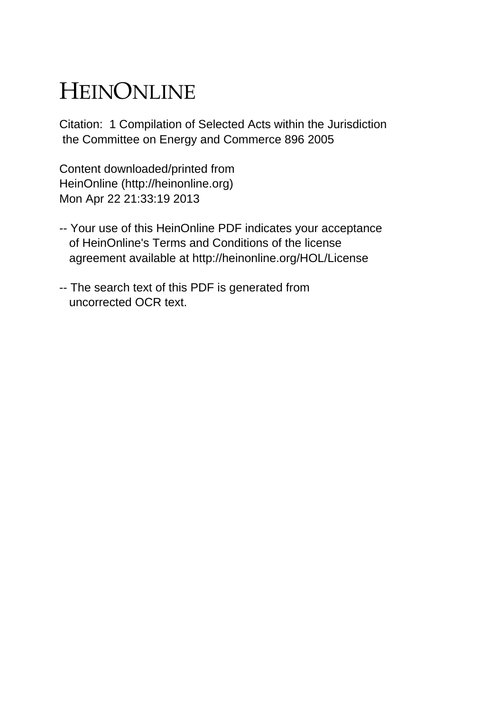## HEINONLINE

Citation: 1 Compilation of Selected Acts within the Jurisdiction the Committee on Energy and Commerce 896 2005

Content downloaded/printed from HeinOnline (http://heinonline.org) Mon Apr 22 21:33:19 2013

- -- Your use of this HeinOnline PDF indicates your acceptance of HeinOnline's Terms and Conditions of the license agreement available at http://heinonline.org/HOL/License
- -- The search text of this PDF is generated from uncorrected OCR text.